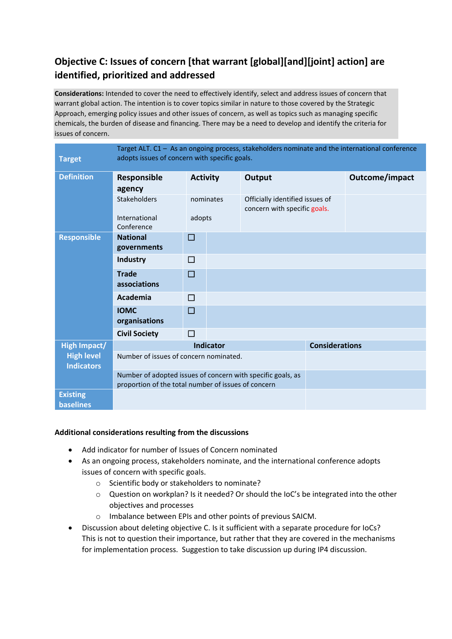## **Objective C: Issues of concern [that warrant [global][and][joint] action] are identified, prioritized and addressed**

**Considerations:** Intended to cover the need to effectively identify, select and address issues of concern that warrant global action. The intention is to cover topics similar in nature to those covered by the Strategic Approach, emerging policy issues and other issues of concern, as well as topics such as managing specific chemicals, the burden of disease and financing. There may be a need to develop and identify the criteria for issues of concern.

| <b>Target</b>                          | Target ALT. C1 - As an ongoing process, stakeholders nominate and the international conference<br>adopts issues of concern with specific goals. |                  |                       |                                                                 |  |                |  |  |  |  |
|----------------------------------------|-------------------------------------------------------------------------------------------------------------------------------------------------|------------------|-----------------------|-----------------------------------------------------------------|--|----------------|--|--|--|--|
| <b>Definition</b>                      | Responsible                                                                                                                                     | <b>Activity</b>  |                       | Output                                                          |  | Outcome/impact |  |  |  |  |
|                                        | agency                                                                                                                                          |                  |                       |                                                                 |  |                |  |  |  |  |
|                                        | <b>Stakeholders</b>                                                                                                                             | nominates        |                       | Officially identified issues of<br>concern with specific goals. |  |                |  |  |  |  |
|                                        | International<br>Conference                                                                                                                     | adopts           |                       |                                                                 |  |                |  |  |  |  |
| <b>Responsible</b>                     | <b>National</b><br>governments                                                                                                                  | $\Box$           |                       |                                                                 |  |                |  |  |  |  |
|                                        | <b>Industry</b>                                                                                                                                 | П                |                       |                                                                 |  |                |  |  |  |  |
|                                        | <b>Trade</b><br>associations                                                                                                                    | $\Box$           |                       |                                                                 |  |                |  |  |  |  |
|                                        | Academia                                                                                                                                        | П                |                       |                                                                 |  |                |  |  |  |  |
|                                        | <b>IOMC</b><br>organisations                                                                                                                    | $\Box$           |                       |                                                                 |  |                |  |  |  |  |
|                                        | <b>Civil Society</b>                                                                                                                            | П                |                       |                                                                 |  |                |  |  |  |  |
| <b>High Impact/</b>                    |                                                                                                                                                 | <b>Indicator</b> | <b>Considerations</b> |                                                                 |  |                |  |  |  |  |
| <b>High level</b><br><b>Indicators</b> | Number of issues of concern nominated.                                                                                                          |                  |                       |                                                                 |  |                |  |  |  |  |
|                                        | Number of adopted issues of concern with specific goals, as<br>proportion of the total number of issues of concern                              |                  |                       |                                                                 |  |                |  |  |  |  |
| <b>Existing</b><br><b>baselines</b>    |                                                                                                                                                 |                  |                       |                                                                 |  |                |  |  |  |  |

## **Additional considerations resulting from the discussions**

- Add indicator for number of Issues of Concern nominated
- As an ongoing process, stakeholders nominate, and the international conference adopts issues of concern with specific goals.
	- o Scientific body or stakeholders to nominate?
	- $\circ$  Question on workplan? Is it needed? Or should the IoC's be integrated into the other objectives and processes
	- o Imbalance between EPIs and other points of previous SAICM.
- Discussion about deleting objective C. Is it sufficient with a separate procedure for IoCs? This is not to question their importance, but rather that they are covered in the mechanisms for implementation process. Suggestion to take discussion up during IP4 discussion.